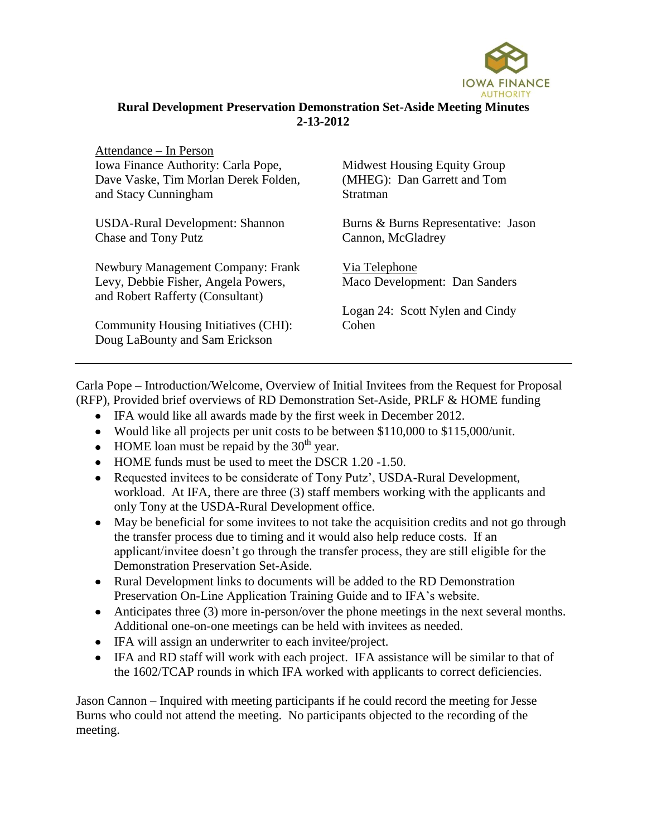

## **Rural Development Preservation Demonstration Set-Aside Meeting Minutes 2-13-2012**

| Attendance – In Person               |
|--------------------------------------|
| Iowa Finance Authority: Carla Pope,  |
| Dave Vaske, Tim Morlan Derek Folden, |
| and Stacy Cunningham                 |

USDA-Rural Development: Shannon Chase and Tony Putz

Newbury Management Company: Frank Levy, Debbie Fisher, Angela Powers, and Robert Rafferty (Consultant)

Community Housing Initiatives (CHI): Doug LaBounty and Sam Erickson

Midwest Housing Equity Group (MHEG): Dan Garrett and Tom Stratman

Burns & Burns Representative: Jason Cannon, McGladrey

Via Telephone Maco Development: Dan Sanders

Logan 24: Scott Nylen and Cindy Cohen

Carla Pope – Introduction/Welcome, Overview of Initial Invitees from the Request for Proposal (RFP), Provided brief overviews of RD Demonstration Set-Aside, PRLF & HOME funding

- IFA would like all awards made by the first week in December 2012.
- Would like all projects per unit costs to be between \$110,000 to \$115,000/unit.
- $\bullet$  HOME loan must be repaid by the 30<sup>th</sup> year.
- HOME funds must be used to meet the DSCR 1.20 -1.50.
- Requested invitees to be considerate of Tony Putz', USDA-Rural Development, workload. At IFA, there are three (3) staff members working with the applicants and only Tony at the USDA-Rural Development office.
- May be beneficial for some invitees to not take the acquisition credits and not go through the transfer process due to timing and it would also help reduce costs. If an applicant/invitee doesn't go through the transfer process, they are still eligible for the Demonstration Preservation Set-Aside.
- Rural Development links to documents will be added to the RD Demonstration Preservation On-Line Application Training Guide and to IFA's website.
- Anticipates three (3) more in-person/over the phone meetings in the next several months. Additional one-on-one meetings can be held with invitees as needed.
- IFA will assign an underwriter to each invitee/project.
- IFA and RD staff will work with each project. IFA assistance will be similar to that of the 1602/TCAP rounds in which IFA worked with applicants to correct deficiencies.

Jason Cannon – Inquired with meeting participants if he could record the meeting for Jesse Burns who could not attend the meeting. No participants objected to the recording of the meeting.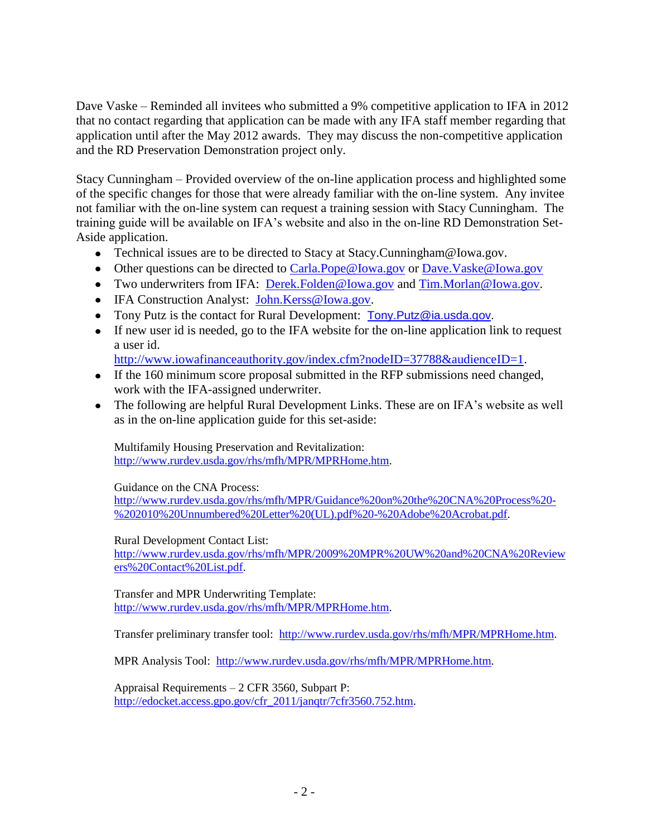Dave Vaske – Reminded all invitees who submitted a 9% competitive application to IFA in 2012 that no contact regarding that application can be made with any IFA staff member regarding that application until after the May 2012 awards. They may discuss the non-competitive application and the RD Preservation Demonstration project only.

Stacy Cunningham – Provided overview of the on-line application process and highlighted some of the specific changes for those that were already familiar with the on-line system. Any invitee not familiar with the on-line system can request a training session with Stacy Cunningham. The training guide will be available on IFA's website and also in the on-line RD Demonstration Set-Aside application.

- Technical issues are to be directed to Stacy at Stacy.Cunningham@Iowa.gov.
- Other questions can be directed to [Carla.Pope@Iowa.gov](mailto:Carla.Pope@Iowa.gov) or [Dave.Vaske@Iowa.gov](mailto:Dave.Vaske@Iowa.gov)
- Two underwriters from IFA: [Derek.Folden@Iowa.gov](mailto:Derek.Folden@Iowa.gov) and [Tim.Morlan@Iowa.gov.](mailto:Tim.Morlan@Iowa.gov)
- IFA Construction Analyst: [John.Kerss@Iowa.gov.](mailto:John.Kerss@Iowa.gov)
- Tony Putz is the contact for Rural Development: [Tony.Putz@ia.usda.gov.](mailto:Tony.Putz@ia.usda.gov)
- If new user id is needed, go to the IFA website for the on-line application link to request a user id.
- [http://www.iowafinanceauthority.gov/index.cfm?nodeID=37788&audienceID=1.](http://www.iowafinanceauthority.gov/index.cfm?nodeID=37788&audienceID=1)
- If the 160 minimum score proposal submitted in the RFP submissions need changed, work with the IFA-assigned underwriter.
- The following are helpful Rural Development Links. These are on IFA's website as well as in the on-line application guide for this set-aside:

Multifamily Housing Preservation and Revitalization: [http://www.rurdev.usda.gov/rhs/mfh/MPR/MPRHome.htm.](http://www.rurdev.usda.gov/rhs/mfh/MPR/MPRHome.htm)

Guidance on the CNA Process:

[http://www.rurdev.usda.gov/rhs/mfh/MPR/Guidance%20on%20the%20CNA%20Process%20-](http://www.rurdev.usda.gov/rhs/mfh/MPR/Guidance%20on%20the%20CNA%20Process%20-%202010%20Unnumbered%20Letter%20(UL).pdf%20-%20Adobe%20Acrobat.pdf) [%202010%20Unnumbered%20Letter%20\(UL\).pdf%20-%20Adobe%20Acrobat.pdf.](http://www.rurdev.usda.gov/rhs/mfh/MPR/Guidance%20on%20the%20CNA%20Process%20-%202010%20Unnumbered%20Letter%20(UL).pdf%20-%20Adobe%20Acrobat.pdf)

Rural Development Contact List:

[http://www.rurdev.usda.gov/rhs/mfh/MPR/2009%20MPR%20UW%20and%20CNA%20Review](http://www.rurdev.usda.gov/rhs/mfh/MPR/2009%20MPR%20UW%20and%20CNA%20Reviewers%20Contact%20List.pdf) [ers%20Contact%20List.pdf.](http://www.rurdev.usda.gov/rhs/mfh/MPR/2009%20MPR%20UW%20and%20CNA%20Reviewers%20Contact%20List.pdf)

Transfer and MPR Underwriting Template: [http://www.rurdev.usda.gov/rhs/mfh/MPR/MPRHome.htm.](http://www.rurdev.usda.gov/rhs/mfh/MPR/MPRHome.htm)

Transfer preliminary transfer tool: [http://www.rurdev.usda.gov/rhs/mfh/MPR/MPRHome.htm.](http://www.rurdev.usda.gov/rhs/mfh/MPR/MPRHome.htm)

MPR Analysis Tool: [http://www.rurdev.usda.gov/rhs/mfh/MPR/MPRHome.htm.](http://www.rurdev.usda.gov/rhs/mfh/MPR/MPRHome.htm)

Appraisal Requirements – 2 CFR 3560, Subpart P: http://edocket.access.gpo.gov/cfr\_2011/jangtr/7cfr3560.752.htm.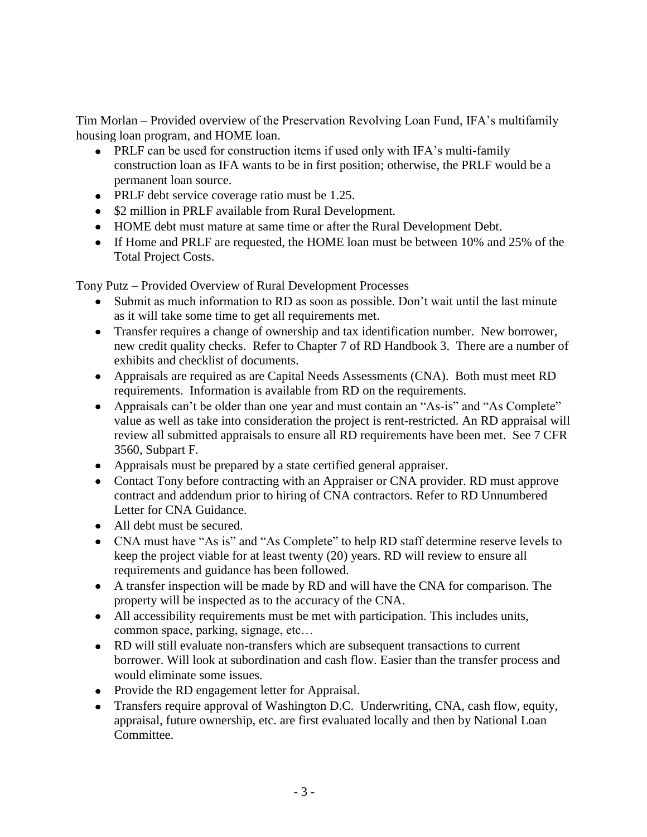Tim Morlan – Provided overview of the Preservation Revolving Loan Fund, IFA's multifamily housing loan program, and HOME loan.

- PRLF can be used for construction items if used only with IFA's multi-family construction loan as IFA wants to be in first position; otherwise, the PRLF would be a permanent loan source.
- PRLF debt service coverage ratio must be 1.25.
- \$2 million in PRLF available from Rural Development.
- HOME debt must mature at same time or after the Rural Development Debt.
- If Home and PRLF are requested, the HOME loan must be between 10% and 25% of the Total Project Costs.

Tony Putz – Provided Overview of Rural Development Processes

- Submit as much information to RD as soon as possible. Don't wait until the last minute as it will take some time to get all requirements met.
- Transfer requires a change of ownership and tax identification number. New borrower, new credit quality checks. Refer to Chapter 7 of RD Handbook 3. There are a number of exhibits and checklist of documents.
- Appraisals are required as are Capital Needs Assessments (CNA). Both must meet RD requirements. Information is available from RD on the requirements.
- Appraisals can't be older than one year and must contain an "As-is" and "As Complete" value as well as take into consideration the project is rent-restricted. An RD appraisal will review all submitted appraisals to ensure all RD requirements have been met. See 7 CFR 3560, Subpart F.
- Appraisals must be prepared by a state certified general appraiser.
- Contact Tony before contracting with an Appraiser or CNA provider. RD must approve contract and addendum prior to hiring of CNA contractors. Refer to RD Unnumbered Letter for CNA Guidance.
- All debt must be secured.
- CNA must have "As is" and "As Complete" to help RD staff determine reserve levels to keep the project viable for at least twenty (20) years. RD will review to ensure all requirements and guidance has been followed.
- A transfer inspection will be made by RD and will have the CNA for comparison. The property will be inspected as to the accuracy of the CNA.
- All accessibility requirements must be met with participation. This includes units, common space, parking, signage, etc…
- RD will still evaluate non-transfers which are subsequent transactions to current borrower. Will look at subordination and cash flow. Easier than the transfer process and would eliminate some issues.
- Provide the RD engagement letter for Appraisal.
- Transfers require approval of Washington D.C. Underwriting, CNA, cash flow, equity, appraisal, future ownership, etc. are first evaluated locally and then by National Loan Committee.